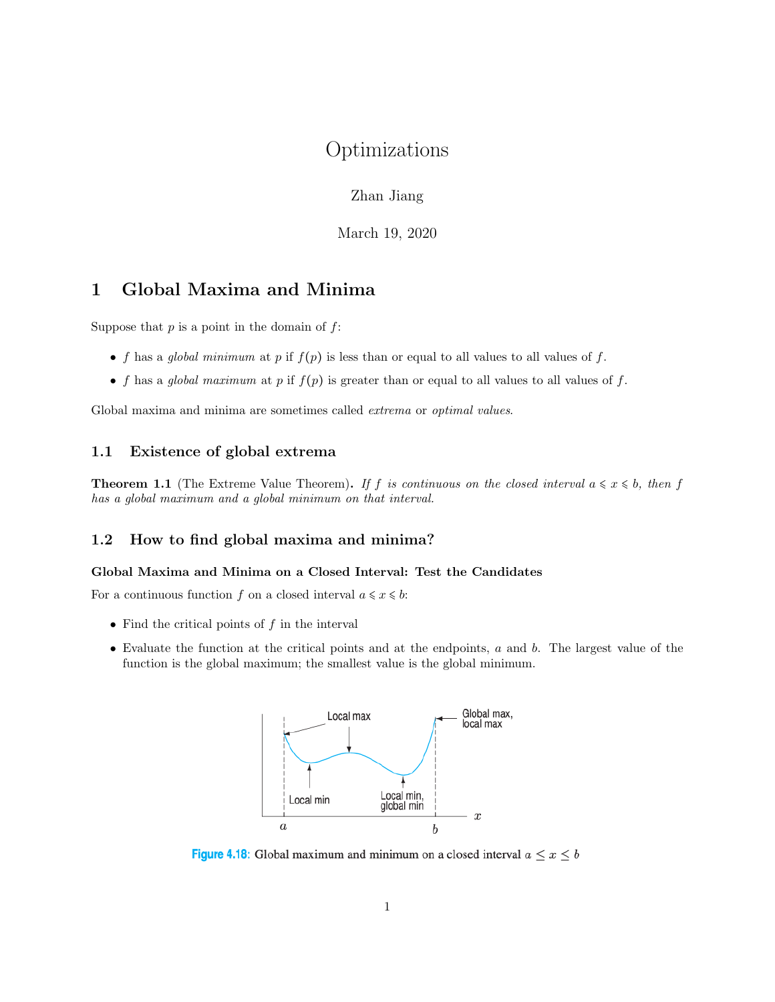# Optimizations

Zhan Jiang

March 19, 2020

## 1 Global Maxima and Minima

Suppose that  $p$  is a point in the domain of  $f$ :

- f has a global minimum at p if  $f(p)$  is less than or equal to all values to all values of f.
- f has a global maximum at p if  $f(p)$  is greater than or equal to all values to all values of f.

Global maxima and minima are sometimes called extrema or optimal values.

### 1.1 Existence of global extrema

**Theorem 1.1** (The Extreme Value Theorem). If f is continuous on the closed interval  $a \leq x \leq b$ , then f has a global maximum and a global minimum on that interval.

#### 1.2 How to find global maxima and minima?

#### Global Maxima and Minima on a Closed Interval: Test the Candidates

For a continuous function f on a closed interval  $a \leq x \leq b$ :

- Find the critical points of  $f$  in the interval
- Evaluate the function at the critical points and at the endpoints, a and b. The largest value of the function is the global maximum; the smallest value is the global minimum.



Figure 4.18: Global maximum and minimum on a closed interval  $a \le x \le b$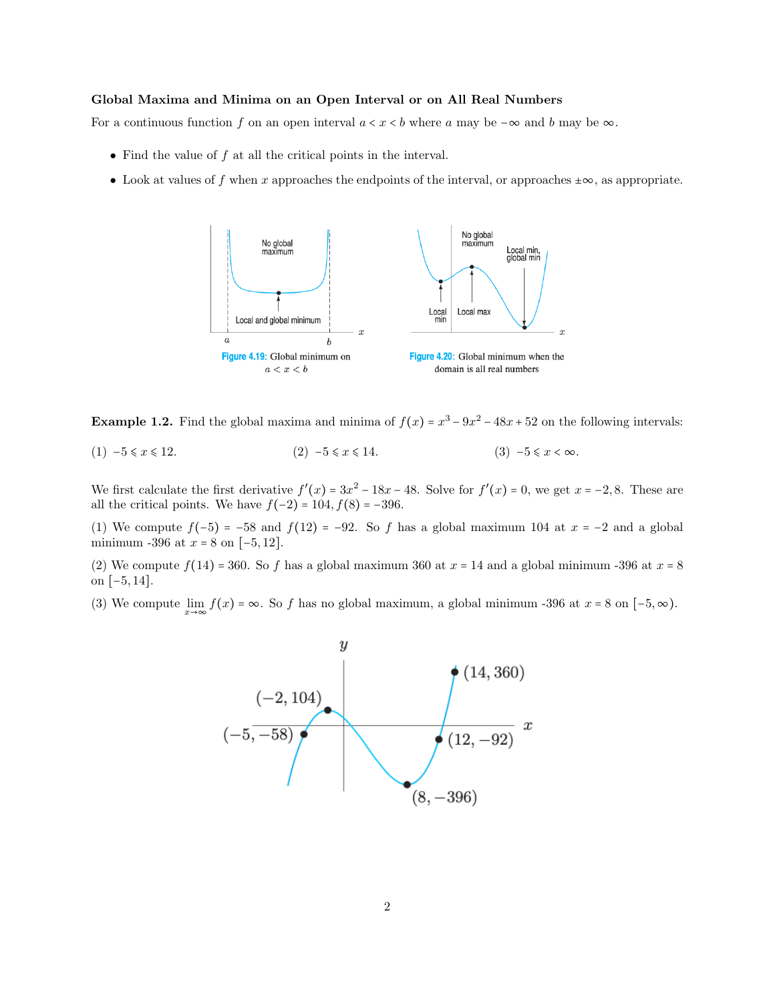#### Global Maxima and Minima on an Open Interval or on All Real Numbers

For a continuous function f on an open interval  $a < x < b$  where a may be  $-\infty$  and b may be  $\infty$ .

- Find the value of  $f$  at all the critical points in the interval.
- Look at values of f when x approaches the endpoints of the interval, or approaches  $\pm \infty$ , as appropriate.



**Example 1.2.** Find the global maxima and minima of  $f(x) = x^3 - 9x^2 - 48x + 52$  on the following intervals:

(1)  $-5 \le x \le 12$ . (2)  $-5 \le x \le 14$ . (3)  $-5 \le x < \infty$ .

We first calculate the first derivative  $f'(x) = 3x^2 - 18x - 48$ . Solve for  $f'(x) = 0$ , we get  $x = -2, 8$ . These are all the critical points. We have  $f(-2) = 104, f(8) = -396$ .

(1) We compute  $f(-5) = -58$  and  $f(12) = -92$ . So f has a global maximum 104 at  $x = -2$  and a global minimum -396 at  $x = 8$  on  $[-5, 12]$ .

(2) We compute  $f(14) = 360$ . So f has a global maximum 360 at  $x = 14$  and a global minimum -396 at  $x = 8$ on [−5, 14].

(3) We compute  $\lim_{x\to\infty} f(x) = \infty$ . So f has no global maximum, a global minimum -396 at  $x = 8$  on  $[-5, \infty)$ .

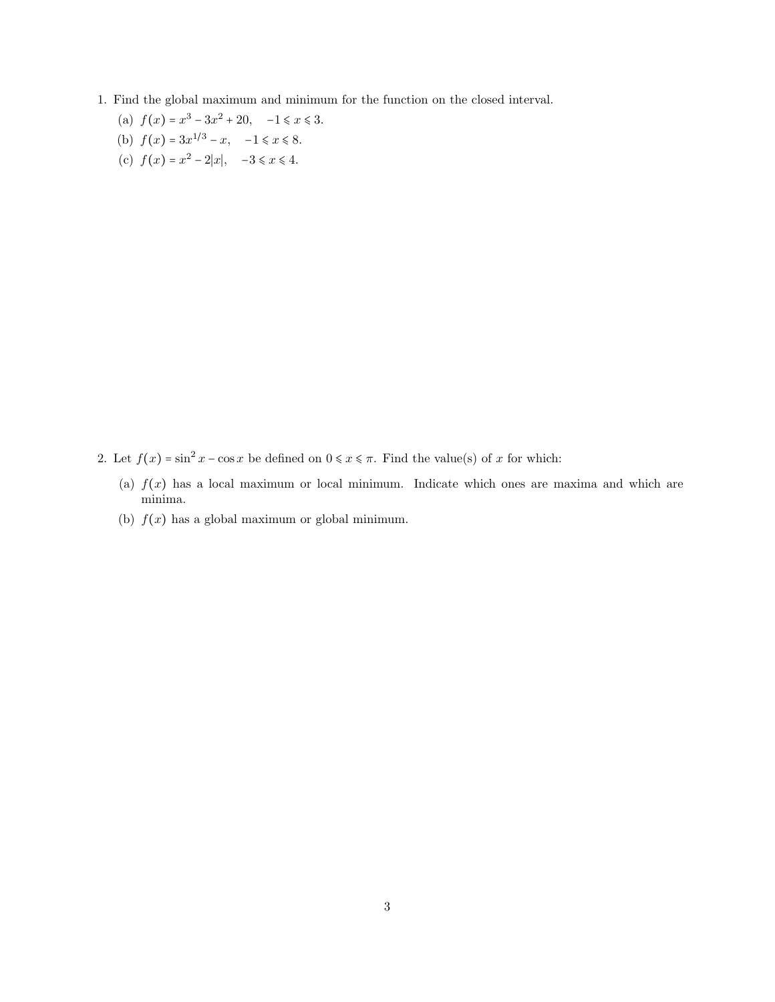- 1. Find the global maximum and minimum for the function on the closed interval.
	- (a)  $f(x) = x^3 3x^2 + 20$ ,  $-1 \le x \le 3$ . (b)  $f(x) = 3x^{1/3} - x$ ,  $-1 \le x \le 8$ .
	- (c)  $f(x) = x^2 2|x|, -3 \le x \le 4.$

- 2. Let  $f(x) = \sin^2 x \cos x$  be defined on  $0 \le x \le \pi$ . Find the value(s) of x for which:
	- (a)  $f(x)$  has a local maximum or local minimum. Indicate which ones are maxima and which are minima.
	- (b)  $f(x)$  has a global maximum or global minimum.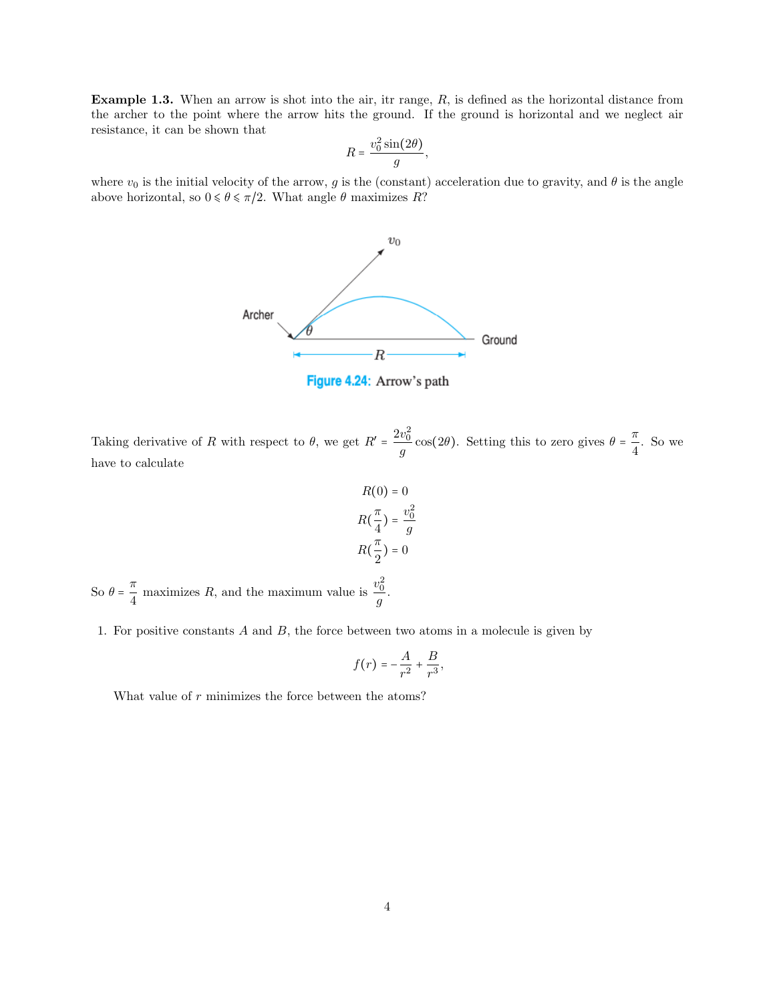**Example 1.3.** When an arrow is shot into the air, itr range,  $R$ , is defined as the horizontal distance from the archer to the point where the arrow hits the ground. If the ground is horizontal and we neglect air resistance, it can be shown that

$$
R = \frac{v_0^2 \sin(2\theta)}{g},
$$

where  $v_0$  is the initial velocity of the arrow, g is the (constant) acceleration due to gravity, and  $\theta$  is the angle above horizontal, so  $0 \le \theta \le \pi/2$ . What angle  $\theta$  maximizes R?



Taking derivative of R with respect to  $\theta$ , we get  $R' = \frac{2v_0^2}{\theta}$  $\frac{v_0^2}{g}$  cos(2 $\theta$ ). Setting this to zero gives  $\theta = \frac{\pi}{4}$  $\frac{\pi}{4}$ . So we have to calculate

$$
R(0) = 0
$$

$$
R(\frac{\pi}{4}) = \frac{v_0^2}{g}
$$

$$
R(\frac{\pi}{2}) = 0
$$

So  $\theta = \frac{\pi}{4}$  $\frac{\pi}{4}$  maximizes R, and the maximum value is  $\frac{v_0^2}{g}$  $\frac{y}{g}$ .

1. For positive constants A and B, the force between two atoms in a molecule is given by

$$
f(r) = -\frac{A}{r^2} + \frac{B}{r^3},
$$

What value of  $r$  minimizes the force between the atoms?